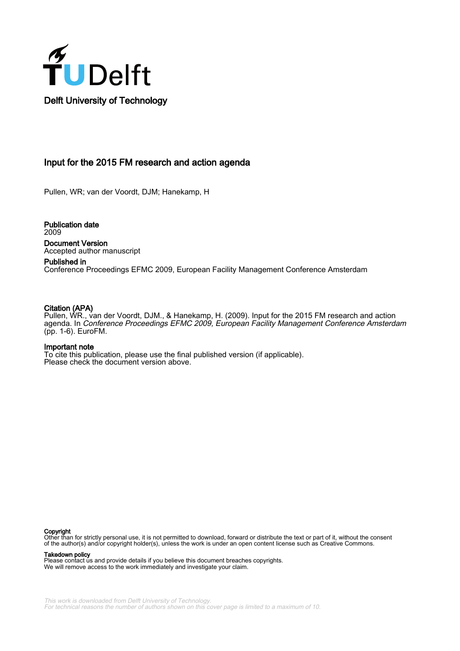

# Input for the 2015 FM research and action agenda

Pullen, WR; van der Voordt, DJM; Hanekamp, H

Publication date 2009 Document Version Accepted author manuscript

Published in Conference Proceedings EFMC 2009, European Facility Management Conference Amsterdam

## Citation (APA)

Pullen, WR., van der Voordt, DJM., & Hanekamp, H. (2009). Input for the 2015 FM research and action agenda. In Conference Proceedings EFMC 2009, European Facility Management Conference Amsterdam (pp. 1-6). EuroFM.

#### Important note

To cite this publication, please use the final published version (if applicable). Please check the document version above.

#### Copyright

Other than for strictly personal use, it is not permitted to download, forward or distribute the text or part of it, without the consent of the author(s) and/or copyright holder(s), unless the work is under an open content license such as Creative Commons.

Takedown policy

Please contact us and provide details if you believe this document breaches copyrights. We will remove access to the work immediately and investigate your claim.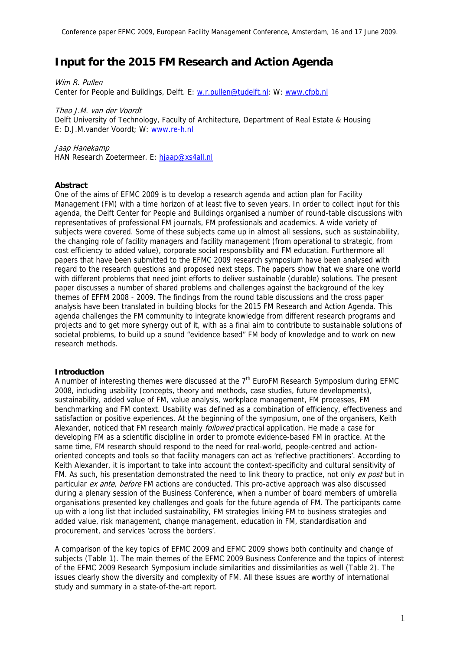# **Input for the 2015 FM Research and Action Agenda**

Wim R. Pullen Center for People and Buildings, Delft. E: w.r.pullen@tudelft.nl; W: www.cfpb.nl

Theo J.M. van der Voordt Delft University of Technology, Faculty of Architecture, Department of Real Estate & Housing E: D.J.M.vander Voordt; W: www.re-h.nl

Jaap Hanekamp HAN Research Zoetermeer. E: hjaap@xs4all.nl

# **Abstract**

One of the aims of EFMC 2009 is to develop a research agenda and action plan for Facility Management (FM) with a time horizon of at least five to seven years. In order to collect input for this agenda, the Delft Center for People and Buildings organised a number of round-table discussions with representatives of professional FM journals, FM professionals and academics. A wide variety of subjects were covered. Some of these subjects came up in almost all sessions, such as sustainability, the changing role of facility managers and facility management (from operational to strategic, from cost efficiency to added value), corporate social responsibility and FM education. Furthermore all papers that have been submitted to the EFMC 2009 research symposium have been analysed with regard to the research questions and proposed next steps. The papers show that we share one world with different problems that need joint efforts to deliver sustainable (durable) solutions. The present paper discusses a number of shared problems and challenges against the background of the key themes of EFFM 2008 - 2009. The findings from the round table discussions and the cross paper analysis have been translated in building blocks for the 2015 FM Research and Action Agenda. This agenda challenges the FM community to integrate knowledge from different research programs and projects and to get more synergy out of it, with as a final aim to contribute to sustainable solutions of societal problems, to build up a sound "evidence based" FM body of knowledge and to work on new research methods.

# **Introduction**

A number of interesting themes were discussed at the  $7<sup>th</sup>$  EuroFM Research Symposium during EFMC 2008, including usability (concepts, theory and methods, case studies, future developments), sustainability, added value of FM, value analysis, workplace management, FM processes, FM benchmarking and FM context. Usability was defined as a combination of efficiency, effectiveness and satisfaction or positive experiences. At the beginning of the symposium, one of the organisers, Keith Alexander, noticed that FM research mainly *followed* practical application. He made a case for developing FM as a scientific discipline in order to promote evidence-based FM in practice. At the same time, FM research should respond to the need for real-world, people-centred and actionoriented concepts and tools so that facility managers can act as 'reflective practitioners'. According to Keith Alexander, it is important to take into account the context-specificity and cultural sensitivity of FM. As such, his presentation demonstrated the need to link theory to practice, not only ex post but in particular *ex ante, before* FM actions are conducted. This pro-active approach was also discussed during a plenary session of the Business Conference, when a number of board members of umbrella organisations presented key challenges and goals for the future agenda of FM. The participants came up with a long list that included sustainability, FM strategies linking FM to business strategies and added value, risk management, change management, education in FM, standardisation and procurement, and services 'across the borders'.

A comparison of the key topics of EFMC 2009 and EFMC 2009 shows both continuity and change of subjects (Table 1). The main themes of the EFMC 2009 Business Conference and the topics of interest of the EFMC 2009 Research Symposium include similarities and dissimilarities as well (Table 2). The issues clearly show the diversity and complexity of FM. All these issues are worthy of international study and summary in a state-of-the-art report.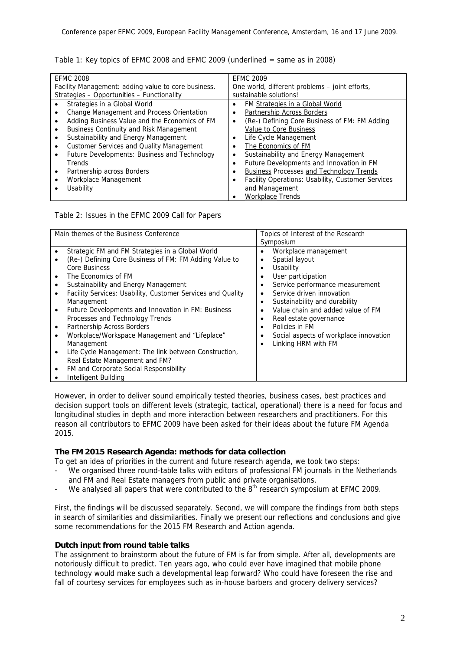| Table 1: Key topics of EFMC 2008 and EFMC 2009 (underlined $=$ same as in 2008) |  |
|---------------------------------------------------------------------------------|--|
|---------------------------------------------------------------------------------|--|

| <b>EFMC 2008</b>                                    | <b>EFMC 2009</b>                                       |  |
|-----------------------------------------------------|--------------------------------------------------------|--|
| Facility Management: adding value to core business. | One world, different problems – joint efforts,         |  |
| Strategies - Opportunities - Functionality          | sustainable solutions!                                 |  |
| Strategies in a Global World                        | FM Strategies in a Global World<br>٠                   |  |
| Change Management and Process Orientation           | Partnership Across Borders<br>٠                        |  |
| Adding Business Value and the Economics of FM       | (Re-) Defining Core Business of FM: FM Adding<br>٠     |  |
| <b>Business Continuity and Risk Management</b><br>٠ | <b>Value to Core Business</b>                          |  |
| Sustainability and Energy Management                | Life Cycle Management<br>٠                             |  |
| Customer Services and Quality Management            | The Economics of FM<br>٠                               |  |
| Future Developments: Business and Technology        | Sustainability and Energy Management                   |  |
| Trends                                              | Future Developments and Innovation in FM               |  |
| Partnership across Borders<br>$\bullet$             | <b>Business Processes and Technology Trends</b><br>٠   |  |
| Workplace Management                                | Facility Operations: Usability, Customer Services<br>٠ |  |
| Usability                                           | and Management                                         |  |
|                                                     | <b>Workplace Trends</b>                                |  |

Table 2: Issues in the EFMC 2009 Call for Papers

| Main themes of the Business Conference                      | Topics of Interest of the Research                  |
|-------------------------------------------------------------|-----------------------------------------------------|
|                                                             | Symposium                                           |
| Strategic FM and FM Strategies in a Global World            | Workplace management<br>$\bullet$                   |
| (Re-) Defining Core Business of FM: FM Adding Value to      | Spatial layout<br>٠                                 |
| Core Business                                               | Usability<br>$\bullet$                              |
| The Economics of FM                                         | User participation<br>$\bullet$                     |
| Sustainability and Energy Management                        | Service performance measurement<br>٠                |
| Facility Services: Usability, Customer Services and Quality | Service driven innovation<br>٠                      |
| Management                                                  | Sustainability and durability<br>$\bullet$          |
| Future Developments and Innovation in FM: Business          | Value chain and added value of FM<br>$\bullet$      |
| Processes and Technology Trends                             | Real estate governance<br>٠                         |
| Partnership Across Borders                                  | Policies in FM<br>٠                                 |
| Workplace/Workspace Management and "Lifeplace"              | Social aspects of workplace innovation<br>$\bullet$ |
| Management                                                  | Linking HRM with FM<br>$\bullet$                    |
| Life Cycle Management: The link between Construction,       |                                                     |
| Real Estate Management and FM?                              |                                                     |
| FM and Corporate Social Responsibility                      |                                                     |
| Intelligent Building                                        |                                                     |

However, in order to deliver sound empirically tested theories, business cases, best practices and decision support tools on different levels (strategic, tactical, operational) there is a need for focus and longitudinal studies in depth and more interaction between researchers and practitioners. For this reason all contributors to EFMC 2009 have been asked for their ideas about the future FM Agenda 2015.

# **The FM 2015 Research Agenda: methods for data collection**

To get an idea of priorities in the current and future research agenda, we took two steps:

- We organised three round-table talks with editors of professional FM journals in the Netherlands and FM and Real Estate managers from public and private organisations.
- We analysed all papers that were contributed to the 8<sup>th</sup> research symposium at EFMC 2009.

First, the findings will be discussed separately. Second, we will compare the findings from both steps in search of similarities and dissimilarities. Finally we present our reflections and conclusions and give some recommendations for the 2015 FM Research and Action agenda.

# **Dutch input from round table talks**

The assignment to brainstorm about the future of FM is far from simple. After all, developments are notoriously difficult to predict. Ten years ago, who could ever have imagined that mobile phone technology would make such a developmental leap forward? Who could have foreseen the rise and fall of courtesy services for employees such as in-house barbers and grocery delivery services?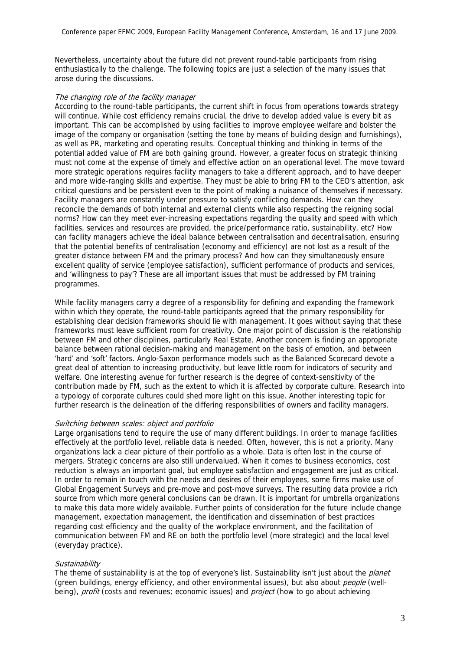Nevertheless, uncertainty about the future did not prevent round-table participants from rising enthusiastically to the challenge. The following topics are just a selection of the many issues that arose during the discussions.

#### The changing role of the facility manager

According to the round-table participants, the current shift in focus from operations towards strategy will continue. While cost efficiency remains crucial, the drive to develop added value is every bit as important. This can be accomplished by using facilities to improve employee welfare and bolster the image of the company or organisation (setting the tone by means of building design and furnishings), as well as PR, marketing and operating results. Conceptual thinking and thinking in terms of the potential added value of FM are both gaining ground. However, a greater focus on strategic thinking must not come at the expense of timely and effective action on an operational level. The move toward more strategic operations requires facility managers to take a different approach, and to have deeper and more wide-ranging skills and expertise. They must be able to bring FM to the CEO's attention, ask critical questions and be persistent even to the point of making a nuisance of themselves if necessary. Facility managers are constantly under pressure to satisfy conflicting demands. How can they reconcile the demands of both internal and external clients while also respecting the reigning social norms? How can they meet ever-increasing expectations regarding the quality and speed with which facilities, services and resources are provided, the price/performance ratio, sustainability, etc? How can facility managers achieve the ideal balance between centralisation and decentralisation, ensuring that the potential benefits of centralisation (economy and efficiency) are not lost as a result of the greater distance between FM and the primary process? And how can they simultaneously ensure excellent quality of service (employee satisfaction), sufficient performance of products and services, and 'willingness to pay'? These are all important issues that must be addressed by FM training programmes.

While facility managers carry a degree of a responsibility for defining and expanding the framework within which they operate, the round-table participants agreed that the primary responsibility for establishing clear decision frameworks should lie with management. It goes without saying that these frameworks must leave sufficient room for creativity. One major point of discussion is the relationship between FM and other disciplines, particularly Real Estate. Another concern is finding an appropriate balance between rational decision-making and management on the basis of emotion, and between 'hard' and 'soft' factors. Anglo-Saxon performance models such as the Balanced Scorecard devote a great deal of attention to increasing productivity, but leave little room for indicators of security and welfare. One interesting avenue for further research is the degree of context-sensitivity of the contribution made by FM, such as the extent to which it is affected by corporate culture. Research into a typology of corporate cultures could shed more light on this issue. Another interesting topic for further research is the delineation of the differing responsibilities of owners and facility managers.

#### Switching between scales: object and portfolio

Large organisations tend to require the use of many different buildings. In order to manage facilities effectively at the portfolio level, reliable data is needed. Often, however, this is not a priority. Many organizations lack a clear picture of their portfolio as a whole. Data is often lost in the course of mergers. Strategic concerns are also still undervalued. When it comes to business economics, cost reduction is always an important goal, but employee satisfaction and engagement are just as critical. In order to remain in touch with the needs and desires of their employees, some firms make use of Global Engagement Surveys and pre-move and post-move surveys. The resulting data provide a rich source from which more general conclusions can be drawn. It is important for umbrella organizations to make this data more widely available. Further points of consideration for the future include change management, expectation management, the identification and dissemination of best practices regarding cost efficiency and the quality of the workplace environment, and the facilitation of communication between FM and RE on both the portfolio level (more strategic) and the local level (everyday practice).

#### **Sustainability**

The theme of sustainability is at the top of everyone's list. Sustainability isn't just about the *planet* (green buildings, energy efficiency, and other environmental issues), but also about people (wellbeing), *profit* (costs and revenues; economic issues) and *project* (how to go about achieving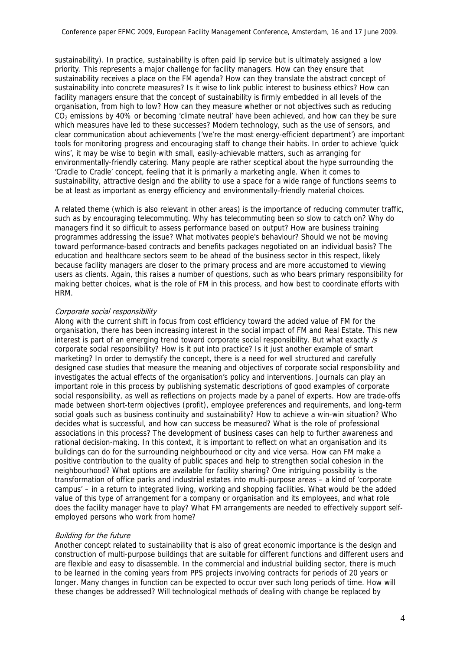sustainability). In practice, sustainability is often paid lip service but is ultimately assigned a low priority. This represents a major challenge for facility managers. How can they ensure that sustainability receives a place on the FM agenda? How can they translate the abstract concept of sustainability into concrete measures? Is it wise to link public interest to business ethics? How can facility managers ensure that the concept of sustainability is firmly embedded in all levels of the organisation, from high to low? How can they measure whether or not objectives such as reducing  $CO<sub>2</sub>$  emissions by 40% or becoming 'climate neutral' have been achieved, and how can they be sure which measures have led to these successes? Modern technology, such as the use of sensors, and clear communication about achievements ('we're the most energy-efficient department') are important tools for monitoring progress and encouraging staff to change their habits. In order to achieve 'quick wins', it may be wise to begin with small, easily-achievable matters, such as arranging for environmentally-friendly catering. Many people are rather sceptical about the hype surrounding the 'Cradle to Cradle' concept, feeling that it is primarily a marketing angle. When it comes to sustainability, attractive design and the ability to use a space for a wide range of functions seems to be at least as important as energy efficiency and environmentally-friendly material choices.

A related theme (which is also relevant in other areas) is the importance of reducing commuter traffic, such as by encouraging telecommuting. Why has telecommuting been so slow to catch on? Why do managers find it so difficult to assess performance based on output? How are business training programmes addressing the issue? What motivates people's behaviour? Should we not be moving toward performance-based contracts and benefits packages negotiated on an individual basis? The education and healthcare sectors seem to be ahead of the business sector in this respect, likely because facility managers are closer to the primary process and are more accustomed to viewing users as clients. Again, this raises a number of questions, such as who bears primary responsibility for making better choices, what is the role of FM in this process, and how best to coordinate efforts with HRM.

#### Corporate social responsibility

Along with the current shift in focus from cost efficiency toward the added value of FM for the organisation, there has been increasing interest in the social impact of FM and Real Estate. This new interest is part of an emerging trend toward corporate social responsibility. But what exactly is corporate social responsibility? How is it put into practice? Is it just another example of smart marketing? In order to demystify the concept, there is a need for well structured and carefully designed case studies that measure the meaning and objectives of corporate social responsibility and investigates the actual effects of the organisation's policy and interventions. Journals can play an important role in this process by publishing systematic descriptions of good examples of corporate social responsibility, as well as reflections on projects made by a panel of experts. How are trade-offs made between short-term objectives (profit), employee preferences and requirements, and long-term social goals such as business continuity and sustainability? How to achieve a win-win situation? Who decides what is successful, and how can success be measured? What is the role of professional associations in this process? The development of business cases can help to further awareness and rational decision-making. In this context, it is important to reflect on what an organisation and its buildings can do for the surrounding neighbourhood or city and vice versa. How can FM make a positive contribution to the quality of public spaces and help to strengthen social cohesion in the neighbourhood? What options are available for facility sharing? One intriguing possibility is the transformation of office parks and industrial estates into multi-purpose areas – a kind of 'corporate campus' – in a return to integrated living, working and shopping facilities. What would be the added value of this type of arrangement for a company or organisation and its employees, and what role does the facility manager have to play? What FM arrangements are needed to effectively support selfemployed persons who work from home?

#### Building for the future

Another concept related to sustainability that is also of great economic importance is the design and construction of multi-purpose buildings that are suitable for different functions and different users and are flexible and easy to disassemble. In the commercial and industrial building sector, there is much to be learned in the coming years from PPS projects involving contracts for periods of 20 years or longer. Many changes in function can be expected to occur over such long periods of time. How will these changes be addressed? Will technological methods of dealing with change be replaced by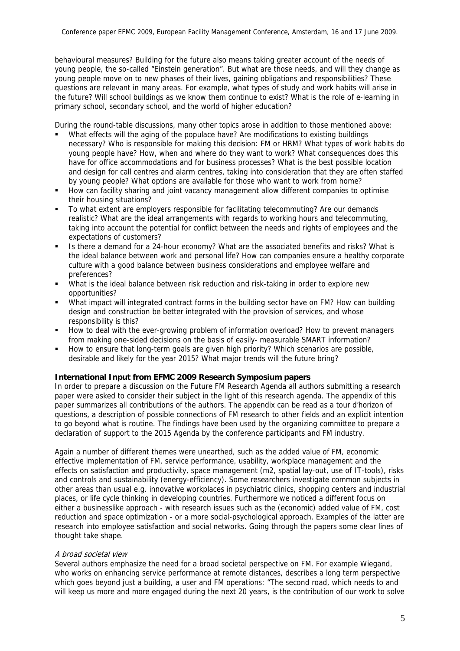behavioural measures? Building for the future also means taking greater account of the needs of young people, the so-called "Einstein generation". But what are those needs, and will they change as young people move on to new phases of their lives, gaining obligations and responsibilities? These questions are relevant in many areas. For example, what types of study and work habits will arise in the future? Will school buildings as we know them continue to exist? What is the role of e-learning in primary school, secondary school, and the world of higher education?

During the round-table discussions, many other topics arose in addition to those mentioned above:

- What effects will the aging of the populace have? Are modifications to existing buildings necessary? Who is responsible for making this decision: FM or HRM? What types of work habits do young people have? How, when and where do they want to work? What consequences does this have for office accommodations and for business processes? What is the best possible location and design for call centres and alarm centres, taking into consideration that they are often staffed by young people? What options are available for those who want to work from home?
- How can facility sharing and joint vacancy management allow different companies to optimise their housing situations?
- To what extent are employers responsible for facilitating telecommuting? Are our demands realistic? What are the ideal arrangements with regards to working hours and telecommuting, taking into account the potential for conflict between the needs and rights of employees and the expectations of customers?
- Is there a demand for a 24-hour economy? What are the associated benefits and risks? What is the ideal balance between work and personal life? How can companies ensure a healthy corporate culture with a good balance between business considerations and employee welfare and preferences?
- What is the ideal balance between risk reduction and risk-taking in order to explore new opportunities?
- What impact will integrated contract forms in the building sector have on FM? How can building design and construction be better integrated with the provision of services, and whose responsibility is this?
- **How to deal with the ever-growing problem of information overload? How to prevent managers** from making one-sided decisions on the basis of easily- measurable SMART information?
- How to ensure that long-term goals are given high priority? Which scenarios are possible, desirable and likely for the year 2015? What major trends will the future bring?

# **International Input from EFMC 2009 Research Symposium papers**

In order to prepare a discussion on the Future FM Research Agenda all authors submitting a research paper were asked to consider their subject in the light of this research agenda. The appendix of this paper summarizes all contributions of the authors. The appendix can be read as a tour d'horizon of questions, a description of possible connections of FM research to other fields and an explicit intention to go beyond what is routine. The findings have been used by the organizing committee to prepare a declaration of support to the 2015 Agenda by the conference participants and FM industry.

Again a number of different themes were unearthed, such as the added value of FM, economic effective implementation of FM, service performance, usability, workplace management and the effects on satisfaction and productivity, space management (m2, spatial lay-out, use of IT-tools), risks and controls and sustainability (energy-efficiency). Some researchers investigate common subjects in other areas than usual e.g. innovative workplaces in psychiatric clinics, shopping centers and industrial places, or life cycle thinking in developing countries. Furthermore we noticed a different focus on either a businesslike approach - with research issues such as the (economic) added value of FM, cost reduction and space optimization - or a more social-psychological approach. Examples of the latter are research into employee satisfaction and social networks. Going through the papers some clear lines of thought take shape.

# A broad societal view

Several authors emphasize the need for a broad societal perspective on FM. For example Wiegand, who works on enhancing service performance at remote distances, describes a long term perspective which goes beyond just a building, a user and FM operations: "The second road, which needs to and will keep us more and more engaged during the next 20 years, is the contribution of our work to solve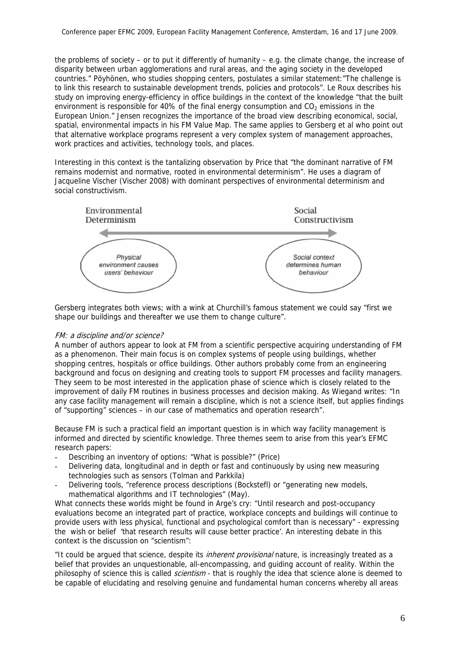the problems of society – or to put it differently of humanity – e.g. the climate change, the increase of disparity between urban agglomerations and rural areas, and the aging society in the developed countries." Pöyhönen, who studies shopping centers, postulates a similar statement:"The challenge is to link this research to sustainable development trends, policies and protocols". Le Roux describes his study on improving energy-efficiency in office buildings in the context of the knowledge "that the built environment is responsible for 40% of the final energy consumption and  $CO<sub>2</sub>$  emissions in the European Union." Jensen recognizes the importance of the broad view describing economical, social, spatial, environmental impacts in his FM Value Map. The same applies to Gersberg et al who point out that alternative workplace programs represent a very complex system of management approaches, work practices and activities, technology tools, and places.

Interesting in this context is the tantalizing observation by Price that "the dominant narrative of FM remains modernist and normative, rooted in environmental determinism". He uses a diagram of Jacqueline Vischer (Vischer 2008) with dominant perspectives of environmental determinism and social constructivism.



Gersberg integrates both views; with a wink at Churchill's famous statement we could say "first we shape our buildings and thereafter we use them to change culture".

# FM: a discipline and/or science?

A number of authors appear to look at FM from a scientific perspective acquiring understanding of FM as a phenomenon. Their main focus is on complex systems of people using buildings, whether shopping centres, hospitals or office buildings. Other authors probably come from an engineering background and focus on designing and creating tools to support FM processes and facility managers. They seem to be most interested in the application phase of science which is closely related to the improvement of daily FM routines in business processes and decision making. As Wiegand writes: "In any case facility management will remain a discipline, which is not a science itself, but applies findings of "supporting" sciences – in our case of mathematics and operation research".

Because FM is such a practical field an important question is in which way facility management is informed and directed by scientific knowledge. Three themes seem to arise from this year's EFMC research papers:

- Describing an inventory of options: "What is possible?" (Price)
- Delivering data, longitudinal and in depth or fast and continuously by using new measuring technologies such as sensors (Tolman and Parkkila)
- Delivering tools, "reference process descriptions (Bockstefl) or "generating new models, mathematical algorithms and IT technologies" (May).

What connects these worlds might be found in Arge's cry: "Until research and post-occupancy evaluations become an integrated part of practice, workplace concepts and buildings will continue to provide users with less physical, functional and psychological comfort than is necessary" - expressing the wish or belief 'that research results will cause better practice'. An interesting debate in this context is the discussion on "scientism":

"It could be argued that science, despite its *inherent provisional* nature, is increasingly treated as a belief that provides an unquestionable, all-encompassing, and guiding account of reality. Within the philosophy of science this is called *scientism* - that is roughly the idea that science alone is deemed to be capable of elucidating and resolving genuine and fundamental human concerns whereby all areas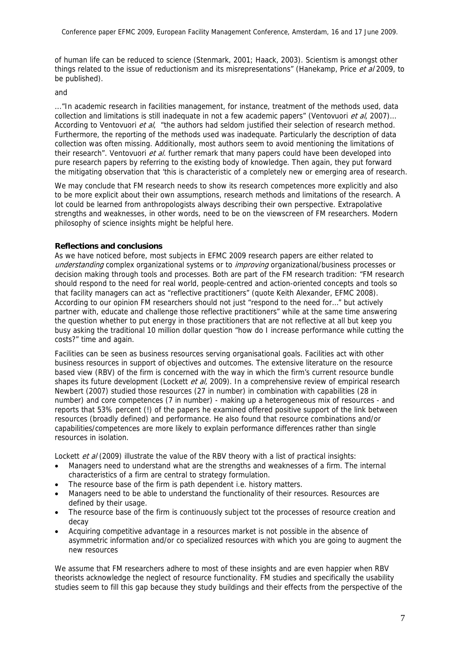of human life can be reduced to science (Stenmark, 2001; Haack, 2003). Scientism is amongst other things related to the issue of reductionism and its misrepresentations" (Hanekamp, Price et al 2009, to be published).

and

..."In academic research in facilities management, for instance, treatment of the methods used, data collection and limitations is still inadequate in not a few academic papers" (Ventovuori et al. 2007)... According to Ventovuori et al, "the authors had seldom justified their selection of research method. Furthermore, the reporting of the methods used was inadequate. Particularly the description of data collection was often missing. Additionally, most authors seem to avoid mentioning the limitations of their research". Ventovuori et al. further remark that many papers could have been developed into pure research papers by referring to the existing body of knowledge. Then again, they put forward the mitigating observation that 'this is characteristic of a completely new or emerging area of research.

We may conclude that FM research needs to show its research competences more explicitly and also to be more explicit about their own assumptions, research methods and limitations of the research. A lot could be learned from anthropologists always describing their own perspective. Extrapolative strengths and weaknesses, in other words, need to be on the viewscreen of FM researchers. Modern philosophy of science insights might be helpful here.

# **Reflections and conclusions**

As we have noticed before, most subjects in EFMC 2009 research papers are either related to understanding complex organizational systems or to *improving* organizational/business processes or decision making through tools and processes. Both are part of the FM research tradition: "FM research should respond to the need for real world, people-centred and action-oriented concepts and tools so that facility managers can act as "reflective practitioners" (quote Keith Alexander, EFMC 2008). According to our opinion FM researchers should not just "respond to the need for…" but actively partner with, educate and challenge those reflective practitioners" while at the same time answering the question whether to put energy in those practitioners that are not reflective at all but keep you busy asking the traditional 10 million dollar question "how do I increase performance while cutting the costs?" time and again.

Facilities can be seen as business resources serving organisational goals. Facilities act with other business resources in support of objectives and outcomes. The extensive literature on the resource based view (RBV) of the firm is concerned with the way in which the firm's current resource bundle shapes its future development (Lockett *et al.* 2009). In a comprehensive review of empirical research Newbert (2007) studied those resources (27 in number) in combination with capabilities (28 in number) and core competences (7 in number) - making up a heterogeneous mix of resources - and reports that 53% percent (!) of the papers he examined offered positive support of the link between resources (broadly defined) and performance. He also found that resource combinations and/or capabilities/competences are more likely to explain performance differences rather than single resources in isolation.

Lockett et al (2009) illustrate the value of the RBV theory with a list of practical insights:

- Managers need to understand what are the strengths and weaknesses of a firm. The internal characteristics of a firm are central to strategy formulation.
- The resource base of the firm is path dependent *i.e.* history matters.
- Managers need to be able to understand the functionality of their resources. Resources are defined by their usage.
- The resource base of the firm is continuously subject tot the processes of resource creation and decay
- Acquiring competitive advantage in a resources market is not possible in the absence of asymmetric information and/or co specialized resources with which you are going to augment the new resources

We assume that FM researchers adhere to most of these insights and are even happier when RBV theorists acknowledge the neglect of resource functionality. FM studies and specifically the usability studies seem to fill this gap because they study buildings and their effects from the perspective of the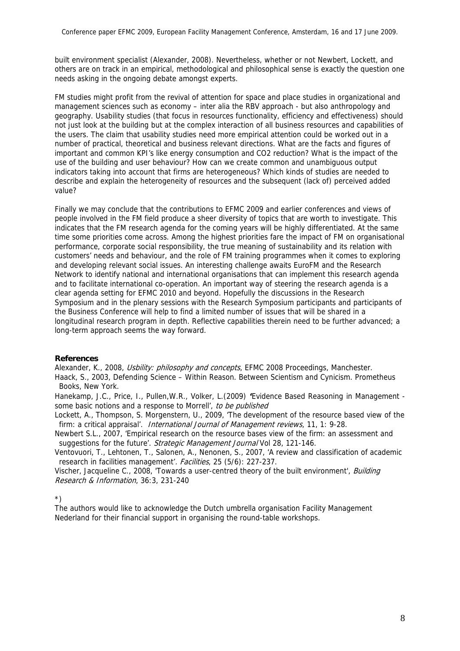built environment specialist (Alexander, 2008). Nevertheless, whether or not Newbert, Lockett, and others are on track in an empirical, methodological and philosophical sense is exactly the question one needs asking in the ongoing debate amongst experts.

FM studies might profit from the revival of attention for space and place studies in organizational and management sciences such as economy – inter alia the RBV approach - but also anthropology and geography. Usability studies (that focus in resources functionality, efficiency and effectiveness) should not just look at the building but at the complex interaction of all business resources and capabilities of the users. The claim that usability studies need more empirical attention could be worked out in a number of practical, theoretical and business relevant directions. What are the facts and figures of important and common KPI's like energy consumption and CO2 reduction? What is the impact of the use of the building and user behaviour? How can we create common and unambiguous output indicators taking into account that firms are heterogeneous? Which kinds of studies are needed to describe and explain the heterogeneity of resources and the subsequent (lack of) perceived added value?

Finally we may conclude that the contributions to EFMC 2009 and earlier conferences and views of people involved in the FM field produce a sheer diversity of topics that are worth to investigate. This indicates that the FM research agenda for the coming years will be highly differentiated. At the same time some priorities come across. Among the highest priorities fare the impact of FM on organisational performance, corporate social responsibility, the true meaning of sustainability and its relation with customers' needs and behaviour, and the role of FM training programmes when it comes to exploring and developing relevant social issues. An interesting challenge awaits EuroFM and the Research Network to identify national and international organisations that can implement this research agenda and to facilitate international co-operation. An important way of steering the research agenda is a clear agenda setting for EFMC 2010 and beyond. Hopefully the discussions in the Research Symposium and in the plenary sessions with the Research Symposium participants and participants of the Business Conference will help to find a limited number of issues that will be shared in a longitudinal research program in depth. Reflective capabilities therein need to be further advanced; a long-term approach seems the way forward.

# **References**

Alexander, K., 2008, Usbility: philosophy and concepts, EFMC 2008 Proceedings, Manchester.

Haack, S., 2003, Defending Science – Within Reason. Between Scientism and Cynicism. Prometheus Books, New York.

Hanekamp, J.C., Price, I., Pullen,W.R., Volker, L.(2009) **'**Evidence Based Reasoning in Management some basic notions and a response to Morrell', to be published

Lockett, A., Thompson, S. Morgenstern, U., 2009, 'The development of the resource based view of the firm: a critical appraisal'. International Journal of Management reviews, 11, 1: 9-28.

Newbert S.L., 2007, 'Empirical research on the resource bases view of the firm: an assessment and suggestions for the future'. Strategic Management Journal Vol 28, 121-146.

Ventovuori, T., Lehtonen, T., Salonen, A., Nenonen, S., 2007, 'A review and classification of academic research in facilities management'. Facilities, 25 (5/6): 227-237.

Vischer, Jacqueline C., 2008, 'Towards a user-centred theory of the built environment', Building Research & Information, 36:3, 231-240

\*)

The authors would like to acknowledge the Dutch umbrella organisation Facility Management Nederland for their financial support in organising the round-table workshops.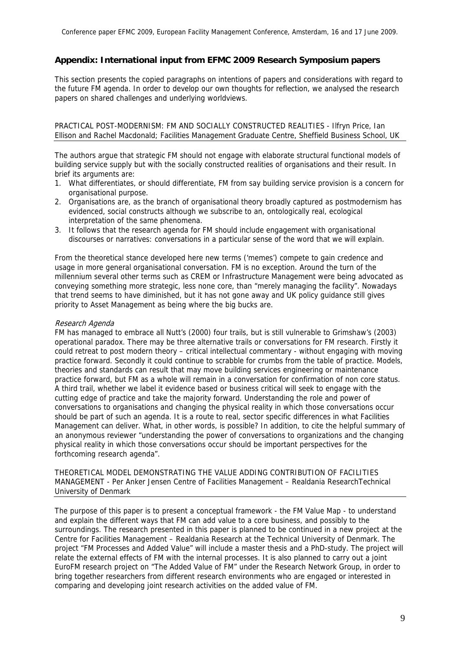# **Appendix: International input from EFMC 2009 Research Symposium papers**

This section presents the copied paragraphs on intentions of papers and considerations with regard to the future FM agenda. In order to develop our own thoughts for reflection, we analysed the research papers on shared challenges and underlying worldviews.

PRACTICAL POST-MODERNISM: FM AND SOCIALLY CONSTRUCTED REALITIES - Ilfryn Price, Ian Ellison and Rachel Macdonald; Facilities Management Graduate Centre, Sheffield Business School, UK

The authors argue that strategic FM should not engage with elaborate structural functional models of building service supply but with the socially constructed realities of organisations and their result. In brief its arguments are:

- 1. What differentiates, or should differentiate, FM from say building service provision is a concern for organisational purpose.
- 2. Organisations are, as the branch of organisational theory broadly captured as postmodernism has evidenced, social constructs although we subscribe to an, ontologically real, ecological interpretation of the same phenomena.
- 3. It follows that the research agenda for FM should include engagement with organisational discourses or narratives: conversations in a particular sense of the word that we will explain.

From the theoretical stance developed here new terms ('memes') compete to gain credence and usage in more general organisational conversation. FM is no exception. Around the turn of the millennium several other terms such as CREM or Infrastructure Management were being advocated as conveying something more strategic, less none core, than "merely managing the facility". Nowadays that trend seems to have diminished, but it has not gone away and UK policy guidance still gives priority to Asset Management as being where the big bucks are.

## Research Agenda

FM has managed to embrace all Nutt's (2000) four trails, but is still vulnerable to Grimshaw's (2003) operational paradox. There may be three alternative trails or conversations for FM research. Firstly it could retreat to post modern theory – critical intellectual commentary - without engaging with moving practice forward. Secondly it could continue to scrabble for crumbs from the table of practice. Models, theories and standards can result that may move building services engineering or maintenance practice forward, but FM as a whole will remain in a conversation for confirmation of non core status. A third trail, whether we label it evidence based or business critical will seek to engage with the cutting edge of practice and take the majority forward. Understanding the role and power of conversations to organisations and changing the physical reality in which those conversations occur should be part of such an agenda. It is a route to real, sector specific differences in what Facilities Management can deliver. What, in other words, is possible? In addition, to cite the helpful summary of an anonymous reviewer "understanding the power of conversations to organizations and the changing physical reality in which those conversations occur should be important perspectives for the forthcoming research agenda".

THEORETICAL MODEL DEMONSTRATING THE VALUE ADDING CONTRIBUTION OF FACILITIES MANAGEMENT - Per Anker Jensen Centre of Facilities Management – Realdania ResearchTechnical University of Denmark

The purpose of this paper is to present a conceptual framework - the FM Value Map - to understand and explain the different ways that FM can add value to a core business, and possibly to the surroundings. The research presented in this paper is planned to be continued in a new project at the Centre for Facilities Management – Realdania Research at the Technical University of Denmark. The project "FM Processes and Added Value" will include a master thesis and a PhD-study. The project will relate the external effects of FM with the internal processes. It is also planned to carry out a joint EuroFM research project on "The Added Value of FM" under the Research Network Group, in order to bring together researchers from different research environments who are engaged or interested in comparing and developing joint research activities on the added value of FM.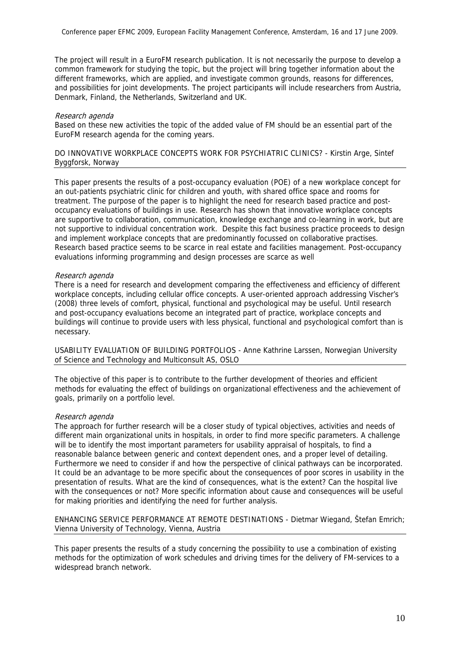The project will result in a EuroFM research publication. It is not necessarily the purpose to develop a common framework for studying the topic, but the project will bring together information about the different frameworks, which are applied, and investigate common grounds, reasons for differences, and possibilities for joint developments. The project participants will include researchers from Austria, Denmark, Finland, the Netherlands, Switzerland and UK.

#### Research agenda

Based on these new activities the topic of the added value of FM should be an essential part of the EuroFM research agenda for the coming years.

## DO INNOVATIVE WORKPLACE CONCEPTS WORK FOR PSYCHIATRIC CLINICS? - Kirstin Arge, Sintef Byggforsk, Norway

This paper presents the results of a post-occupancy evaluation (POE) of a new workplace concept for an out-patients psychiatric clinic for children and youth, with shared office space and rooms for treatment. The purpose of the paper is to highlight the need for research based practice and postoccupancy evaluations of buildings in use. Research has shown that innovative workplace concepts are supportive to collaboration, communication, knowledge exchange and co-learning in work, but are not supportive to individual concentration work. Despite this fact business practice proceeds to design and implement workplace concepts that are predominantly focussed on collaborative practises. Research based practice seems to be scarce in real estate and facilities management. Post-occupancy evaluations informing programming and design processes are scarce as well

#### Research agenda

There is a need for research and development comparing the effectiveness and efficiency of different workplace concepts, including cellular office concepts. A user-oriented approach addressing Vischer's (2008) three levels of comfort, physical, functional and psychological may be useful. Until research and post-occupancy evaluations become an integrated part of practice, workplace concepts and buildings will continue to provide users with less physical, functional and psychological comfort than is necessary.

USABILITY EVALUATION OF BUILDING PORTFOLIOS - Anne Kathrine Larssen, Norwegian University of Science and Technology and Multiconsult AS, OSLO

The objective of this paper is to contribute to the further development of theories and efficient methods for evaluating the effect of buildings on organizational effectiveness and the achievement of goals, primarily on a portfolio level.

# Research agenda

The approach for further research will be a closer study of typical objectives, activities and needs of different main organizational units in hospitals, in order to find more specific parameters. A challenge will be to identify the most important parameters for usability appraisal of hospitals, to find a reasonable balance between generic and context dependent ones, and a proper level of detailing. Furthermore we need to consider if and how the perspective of clinical pathways can be incorporated. It could be an advantage to be more specific about the consequences of poor scores in usability in the presentation of results. What are the kind of consequences, what is the extent? Can the hospital live with the consequences or not? More specific information about cause and consequences will be useful for making priorities and identifying the need for further analysis.

ENHANCING SERVICE PERFORMANCE AT REMOTE DESTINATIONS - Dietmar Wiegand, Štefan Emrich; Vienna University of Technology, Vienna, Austria

This paper presents the results of a study concerning the possibility to use a combination of existing methods for the optimization of work schedules and driving times for the delivery of FM-services to a widespread branch network.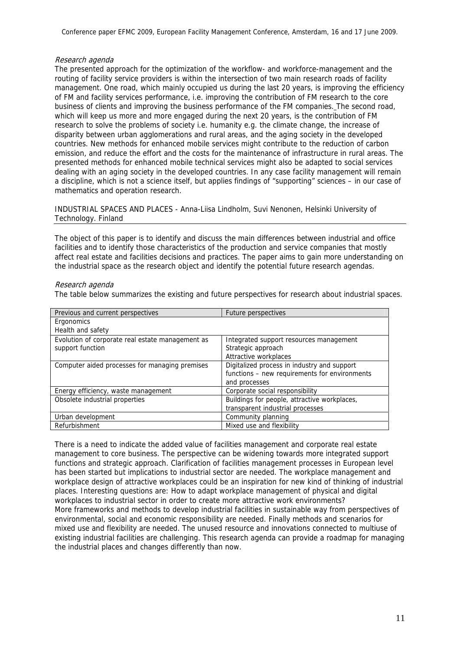## Research agenda

The presented approach for the optimization of the workflow- and workforce-management and the routing of facility service providers is within the intersection of two main research roads of facility management. One road, which mainly occupied us during the last 20 years, is improving the efficiency of FM and facility services performance, i.e. improving the contribution of FM research to the core business of clients and improving the business performance of the FM companies. The second road, which will keep us more and more engaged during the next 20 years, is the contribution of FM research to solve the problems of society i.e. humanity e.g. the climate change, the increase of disparity between urban agglomerations and rural areas, and the aging society in the developed countries. New methods for enhanced mobile services might contribute to the reduction of carbon emission, and reduce the effort and the costs for the maintenance of infrastructure in rural areas. The presented methods for enhanced mobile technical services might also be adapted to social services dealing with an aging society in the developed countries. In any case facility management will remain a discipline, which is not a science itself, but applies findings of "supporting" sciences – in our case of mathematics and operation research.

INDUSTRIAL SPACES AND PLACES - Anna-Liisa Lindholm, Suvi Nenonen, Helsinki University of Technology. Finland

The object of this paper is to identify and discuss the main differences between industrial and office facilities and to identify those characteristics of the production and service companies that mostly affect real estate and facilities decisions and practices. The paper aims to gain more understanding on the industrial space as the research object and identify the potential future research agendas.

#### Research agenda

The table below summarizes the existing and future perspectives for research about industrial spaces.

| Previous and current perspectives                | Future perspectives                           |
|--------------------------------------------------|-----------------------------------------------|
| Ergonomics                                       |                                               |
| Health and safety                                |                                               |
| Evolution of corporate real estate management as | Integrated support resources management       |
| support function                                 | Strategic approach                            |
|                                                  | Attractive workplaces                         |
| Computer aided processes for managing premises   | Digitalized process in industry and support   |
|                                                  | functions - new requirements for environments |
|                                                  | and processes                                 |
| Energy efficiency, waste management              | Corporate social responsibility               |
| Obsolete industrial properties                   | Buildings for people, attractive workplaces,  |
|                                                  | transparent industrial processes              |
| Urban development                                | Community planning                            |
| Refurbishment                                    | Mixed use and flexibility                     |

There is a need to indicate the added value of facilities management and corporate real estate management to core business. The perspective can be widening towards more integrated support functions and strategic approach. Clarification of facilities management processes in European level has been started but implications to industrial sector are needed. The workplace management and workplace design of attractive workplaces could be an inspiration for new kind of thinking of industrial places. Interesting questions are: How to adapt workplace management of physical and digital workplaces to industrial sector in order to create more attractive work environments? More frameworks and methods to develop industrial facilities in sustainable way from perspectives of environmental, social and economic responsibility are needed. Finally methods and scenarios for mixed use and flexibility are needed. The unused resource and innovations connected to multiuse of existing industrial facilities are challenging. This research agenda can provide a roadmap for managing the industrial places and changes differently than now.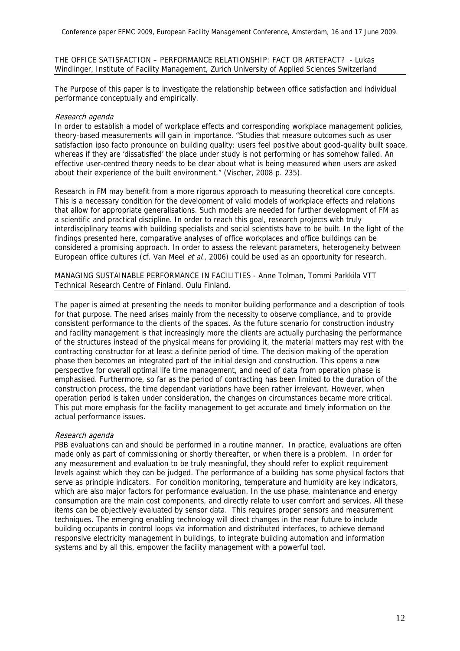#### THE OFFICE SATISFACTION – PERFORMANCE RELATIONSHIP: FACT OR ARTEFACT? - Lukas Windlinger, Institute of Facility Management, Zurich University of Applied Sciences Switzerland

The Purpose of this paper is to investigate the relationship between office satisfaction and individual performance conceptually and empirically.

# Research agenda

In order to establish a model of workplace effects and corresponding workplace management policies, theory-based measurements will gain in importance. "Studies that measure outcomes such as user satisfaction ipso facto pronounce on building quality: users feel positive about good-quality built space, whereas if they are 'dissatisfied' the place under study is not performing or has somehow failed. An effective user-centred theory needs to be clear about what is being measured when users are asked about their experience of the built environment." (Vischer, 2008 p. 235).

Research in FM may benefit from a more rigorous approach to measuring theoretical core concepts. This is a necessary condition for the development of valid models of workplace effects and relations that allow for appropriate generalisations. Such models are needed for further development of FM as a scientific and practical discipline. In order to reach this goal, research projects with truly interdisciplinary teams with building specialists and social scientists have to be built. In the light of the findings presented here, comparative analyses of office workplaces and office buildings can be considered a promising approach. In order to assess the relevant parameters, heterogeneity between European office cultures (cf. Van Meel et al., 2006) could be used as an opportunity for research.

MANAGING SUSTAINABLE PERFORMANCE IN FACILITIES - Anne Tolman, Tommi Parkkila VTT Technical Research Centre of Finland. Oulu Finland.

The paper is aimed at presenting the needs to monitor building performance and a description of tools for that purpose. The need arises mainly from the necessity to observe compliance, and to provide consistent performance to the clients of the spaces. As the future scenario for construction industry and facility management is that increasingly more the clients are actually purchasing the performance of the structures instead of the physical means for providing it, the material matters may rest with the contracting constructor for at least a definite period of time. The decision making of the operation phase then becomes an integrated part of the initial design and construction. This opens a new perspective for overall optimal life time management, and need of data from operation phase is emphasised. Furthermore, so far as the period of contracting has been limited to the duration of the construction process, the time dependant variations have been rather irrelevant. However, when operation period is taken under consideration, the changes on circumstances became more critical. This put more emphasis for the facility management to get accurate and timely information on the actual performance issues.

# Research agenda

PBB evaluations can and should be performed in a routine manner. In practice, evaluations are often made only as part of commissioning or shortly thereafter, or when there is a problem. In order for any measurement and evaluation to be truly meaningful, they should refer to explicit requirement levels against which they can be judged. The performance of a building has some physical factors that serve as principle indicators. For condition monitoring, temperature and humidity are key indicators, which are also major factors for performance evaluation. In the use phase, maintenance and energy consumption are the main cost components, and directly relate to user comfort and services. All these items can be objectively evaluated by sensor data. This requires proper sensors and measurement techniques. The emerging enabling technology will direct changes in the near future to include building occupants in control loops via information and distributed interfaces, to achieve demand responsive electricity management in buildings, to integrate building automation and information systems and by all this, empower the facility management with a powerful tool.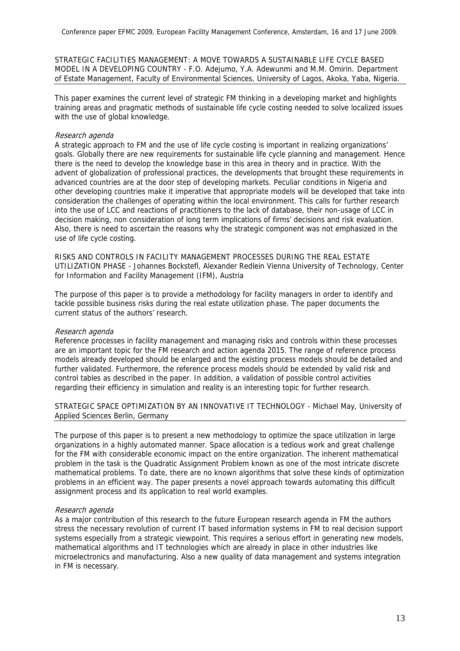STRATEGIC FACILITIES MANAGEMENT: A MOVE TOWARDS A SUSTAINABLE LIFE CYCLE BASED MODEL IN A DEVELOPING COUNTRY - F.O. Adejumo, Y.A. Adewunmi and M.M. Omirin. Department of Estate Management, Faculty of Environmental Sciences, University of Lagos, Akoka, Yaba, Nigeria.

This paper examines the current level of strategic FM thinking in a developing market and highlights training areas and pragmatic methods of sustainable life cycle costing needed to solve localized issues with the use of global knowledge.

# Research agenda

A strategic approach to FM and the use of life cycle costing is important in realizing organizations' goals. Globally there are new requirements for sustainable life cycle planning and management. Hence there is the need to develop the knowledge base in this area in theory and in practice. With the advent of globalization of professional practices, the developments that brought these requirements in advanced countries are at the door step of developing markets. Peculiar conditions in Nigeria and other developing countries make it imperative that appropriate models will be developed that take into consideration the challenges of operating within the local environment. This calls for further research into the use of LCC and reactions of practitioners to the lack of database, their non-usage of LCC in decision making, non consideration of long term implications of firms' decisions and risk evaluation. Also, there is need to ascertain the reasons why the strategic component was not emphasized in the use of life cycle costing.

RISKS AND CONTROLS IN FACILITY MANAGEMENT PROCESSES DURING THE REAL ESTATE UTILIZATION PHASE - Johannes Bockstefl, Alexander Redlein Vienna University of Technology, Center for Information and Facility Management (IFM), Austria

The purpose of this paper is to provide a methodology for facility managers in order to identify and tackle possible business risks during the real estate utilization phase. The paper documents the current status of the authors' research.

# Research agenda

Reference processes in facility management and managing risks and controls within these processes are an important topic for the FM research and action agenda 2015. The range of reference process models already developed should be enlarged and the existing process models should be detailed and further validated. Furthermore, the reference process models should be extended by valid risk and control tables as described in the paper. In addition, a validation of possible control activities regarding their efficiency in simulation and reality is an interesting topic for further research.

STRATEGIC SPACE OPTIMIZATION BY AN INNOVATIVE IT TECHNOLOGY - Michael May, University of Applied Sciences Berlin, Germany

The purpose of this paper is to present a new methodology to optimize the space utilization in large organizations in a highly automated manner. Space allocation is a tedious work and great challenge for the FM with considerable economic impact on the entire organization. The inherent mathematical problem in the task is the Quadratic Assignment Problem known as one of the most intricate discrete mathematical problems. To date, there are no known algorithms that solve these kinds of optimization problems in an efficient way. The paper presents a novel approach towards automating this difficult assignment process and its application to real world examples.

# Research agenda

As a major contribution of this research to the future European research agenda in FM the authors stress the necessary revolution of current IT based information systems in FM to real decision support systems especially from a strategic viewpoint. This requires a serious effort in generating new models, mathematical algorithms and IT technologies which are already in place in other industries like microelectronics and manufacturing. Also a new quality of data management and systems integration in FM is necessary.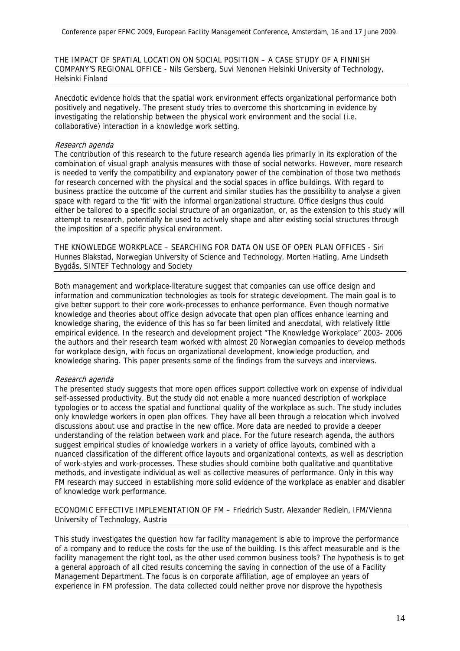THE IMPACT OF SPATIAL LOCATION ON SOCIAL POSITION – A CASE STUDY OF A FINNISH COMPANY'S REGIONAL OFFICE - Nils Gersberg, Suvi Nenonen Helsinki University of Technology, Helsinki Finland

Anecdotic evidence holds that the spatial work environment effects organizational performance both positively and negatively. The present study tries to overcome this shortcoming in evidence by investigating the relationship between the physical work environment and the social (i.e. collaborative) interaction in a knowledge work setting.

## Research agenda

The contribution of this research to the future research agenda lies primarily in its exploration of the combination of visual graph analysis measures with those of social networks. However, more research is needed to verify the compatibility and explanatory power of the combination of those two methods for research concerned with the physical and the social spaces in office buildings. With regard to business practice the outcome of the current and similar studies has the possibility to analyse a given space with regard to the 'fit' with the informal organizational structure. Office designs thus could either be tailored to a specific social structure of an organization, or, as the extension to this study will attempt to research, potentially be used to actively shape and alter existing social structures through the imposition of a specific physical environment.

THE KNOWLEDGE WORKPLACE – SEARCHING FOR DATA ON USE OF OPEN PLAN OFFICES - Siri Hunnes Blakstad, Norwegian University of Science and Technology, Morten Hatling, Arne Lindseth Bygdås, SINTEF Technology and Society

Both management and workplace-literature suggest that companies can use office design and information and communication technologies as tools for strategic development. The main goal is to give better support to their core work-processes to enhance performance. Even though normative knowledge and theories about office design advocate that open plan offices enhance learning and knowledge sharing, the evidence of this has so far been limited and anecdotal, with relatively little empirical evidence. In the research and development project "The Knowledge Workplace" 2003- 2006 the authors and their research team worked with almost 20 Norwegian companies to develop methods for workplace design, with focus on organizational development, knowledge production, and knowledge sharing. This paper presents some of the findings from the surveys and interviews.

# Research agenda

The presented study suggests that more open offices support collective work on expense of individual self-assessed productivity. But the study did not enable a more nuanced description of workplace typologies or to access the spatial and functional quality of the workplace as such. The study includes only knowledge workers in open plan offices. They have all been through a relocation which involved discussions about use and practise in the new office. More data are needed to provide a deeper understanding of the relation between work and place. For the future research agenda, the authors suggest empirical studies of knowledge workers in a variety of office layouts, combined with a nuanced classification of the different office layouts and organizational contexts, as well as description of work-styles and work-processes. These studies should combine both qualitative and quantitative methods, and investigate individual as well as collective measures of performance. Only in this way FM research may succeed in establishing more solid evidence of the workplace as enabler and disabler of knowledge work performance.

ECONOMIC EFFECTIVE IMPLEMENTATION OF FM – Friedrich Sustr, Alexander Redlein, IFM/Vienna University of Technology, Austria

This study investigates the question how far facility management is able to improve the performance of a company and to reduce the costs for the use of the building. Is this affect measurable and is the facility management the right tool, as the other used common business tools? The hypothesis is to get a general approach of all cited results concerning the saving in connection of the use of a Facility Management Department. The focus is on corporate affiliation, age of employee an years of experience in FM profession. The data collected could neither prove nor disprove the hypothesis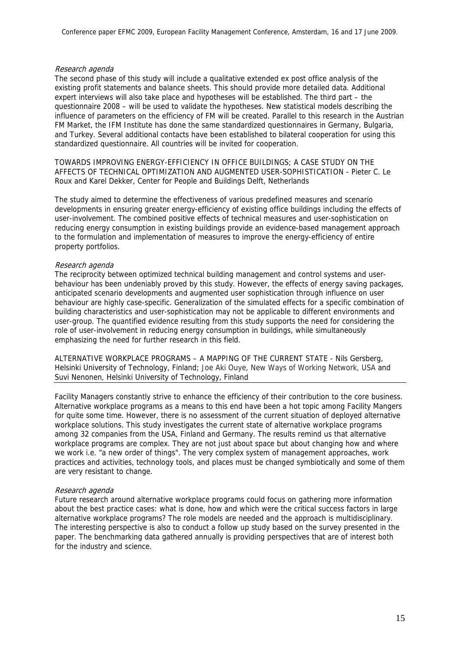# Research agenda

The second phase of this study will include a qualitative extended ex post office analysis of the existing profit statements and balance sheets. This should provide more detailed data. Additional expert interviews will also take place and hypotheses will be established. The third part – the questionnaire 2008 – will be used to validate the hypotheses. New statistical models describing the influence of parameters on the efficiency of FM will be created. Parallel to this research in the Austrian FM Market, the IFM Institute has done the same standardized questionnaires in Germany, Bulgaria, and Turkey. Several additional contacts have been established to bilateral cooperation for using this standardized questionnaire. All countries will be invited for cooperation.

TOWARDS IMPROVING ENERGY-EFFICIENCY IN OFFICE BUILDINGS; A CASE STUDY ON THE AFFECTS OF TECHNICAL OPTIMIZATION AND AUGMENTED USER-SOPHISTICATION - Pieter C. Le Roux and Karel Dekker, Center for People and Buildings Delft, Netherlands

The study aimed to determine the effectiveness of various predefined measures and scenario developments in ensuring greater energy-efficiency of existing office buildings including the effects of user-involvement. The combined positive effects of technical measures and user-sophistication on reducing energy consumption in existing buildings provide an evidence-based management approach to the formulation and implementation of measures to improve the energy-efficiency of entire property portfolios.

# Research agenda

The reciprocity between optimized technical building management and control systems and userbehaviour has been undeniably proved by this study. However, the effects of energy saving packages, anticipated scenario developments and augmented user sophistication through influence on user behaviour are highly case-specific. Generalization of the simulated effects for a specific combination of building characteristics and user-sophistication may not be applicable to different environments and user-group. The quantified evidence resulting from this study supports the need for considering the role of user-involvement in reducing energy consumption in buildings, while simultaneously emphasizing the need for further research in this field.

ALTERNATIVE WORKPLACE PROGRAMS – A MAPPING OF THE CURRENT STATE - Nils Gersberg, Helsinki University of Technology, Finland; Joe Aki Ouye, New Ways of Working Network, USA and Suvi Nenonen, Helsinki University of Technology, Finland

Facility Managers constantly strive to enhance the efficiency of their contribution to the core business. Alternative workplace programs as a means to this end have been a hot topic among Facility Mangers for quite some time. However, there is no assessment of the current situation of deployed alternative workplace solutions. This study investigates the current state of alternative workplace programs among 32 companies from the USA, Finland and Germany. The results remind us that alternative workplace programs are complex. They are not just about space but about changing how and where we work i.e. "a new order of things". The very complex system of management approaches, work practices and activities, technology tools, and places must be changed symbiotically and some of them are very resistant to change.

# Research agenda

Future research around alternative workplace programs could focus on gathering more information about the best practice cases: what is done, how and which were the critical success factors in large alternative workplace programs? The role models are needed and the approach is multidisciplinary. The interesting perspective is also to conduct a follow up study based on the survey presented in the paper. The benchmarking data gathered annually is providing perspectives that are of interest both for the industry and science.